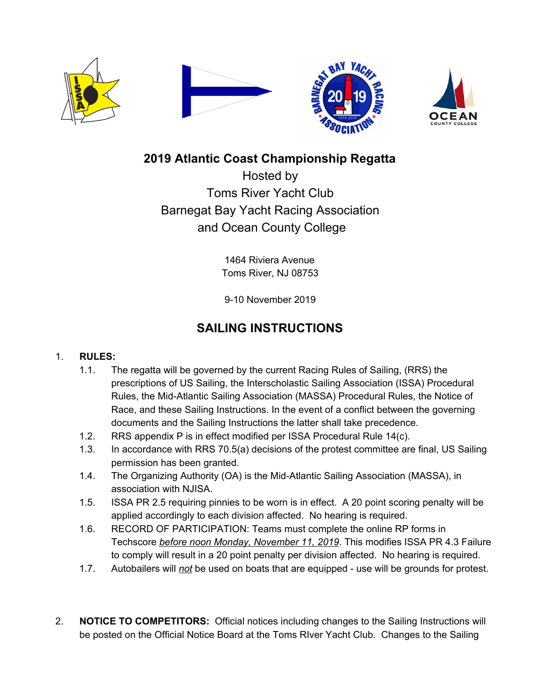



## **2019 Atlantic Coast Championship Regatta**

Hosted by Toms River Yacht Club Barnegat Bay Yacht Racing Association and Ocean County College

> 1464 Riviera Avenue Toms River, NJ 08753

9-10 November 2019

# **SAILING INSTRUCTIONS**

## 1. **RULES:**

- 1.1. The regatta will be governed by the current Racing Rules of Sailing, (RRS) the prescriptions of US Sailing, the Interscholastic Sailing Association (ISSA) Procedural Rules, the Mid-Atlantic Sailing Association (MASSA) Procedural Rules, the Notice of Race, and these Sailing Instructions. In the event of a conflict between the governing documents and the Sailing Instructions the latter shall take precedence.
- 1.2. RRS appendix P is in effect modified per ISSA Procedural Rule 14(c).
- 1.3. In accordance with RRS 70.5(a) decisions of the protest committee are final, US Sailing permission has been granted.
- 1.4. The Organizing Authority (OA) is the Mid-Atlantic Sailing Association (MASSA), in association with NJISA.
- 1.5. ISSA PR 2.5 requiring pinnies to be worn is in effect. A 20 point scoring penalty will be applied accordingly to each division affected. No hearing is required.
- 1.6. RECORD OF PARTICIPATION: Teams must complete the online RP forms in Techscore *before noon Monday, November 11, 2019*. This modifies ISSA PR 4.3 Failure to comply will result in a 20 point penalty per division affected. No hearing is required.
- 1.7. Autobailers will *not* be used on boats that are equipped use will be grounds for protest.
- 2. **NOTICE TO COMPETITORS:** Official notices including changes to the Sailing Instructions will be posted on the Official Notice Board at the Toms RIver Yacht Club. Changes to the Sailing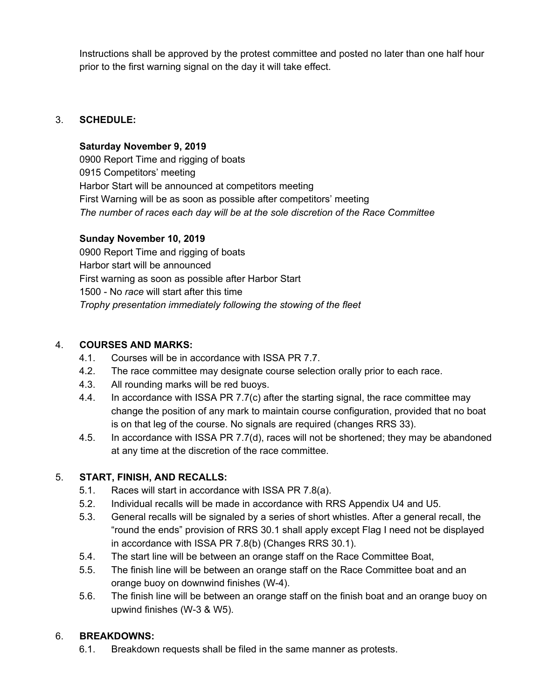Instructions shall be approved by the protest committee and posted no later than one half hour prior to the first warning signal on the day it will take effect.

## 3. **SCHEDULE:**

### **Saturday November 9, 2019**

0900 Report Time and rigging of boats 0915 Competitors' meeting Harbor Start will be announced at competitors meeting First Warning will be as soon as possible after competitors' meeting *The number of races each day will be at the sole discretion of the Race Committee*

## **Sunday November 10, 2019**

0900 Report Time and rigging of boats Harbor start will be announced First warning as soon as possible after Harbor Start 1500 - No *race* will start after this time *Trophy presentation immediately following the stowing of the fleet*

## 4. **COURSES AND MARKS:**

- 4.1. Courses will be in accordance with ISSA PR 7.7.
- 4.2. The race committee may designate course selection orally prior to each race.
- 4.3. All rounding marks will be red buoys.
- 4.4. In accordance with ISSA PR 7.7(c) after the starting signal, the race committee may change the position of any mark to maintain course configuration, provided that no boat is on that leg of the course. No signals are required (changes RRS 33).
- 4.5. In accordance with ISSA PR 7.7(d), races will not be shortened; they may be abandoned at any time at the discretion of the race committee.

## 5. **START, FINISH, AND RECALLS:**

- 5.1. Races will start in accordance with ISSA PR 7.8(a).
- 5.2. Individual recalls will be made in accordance with RRS Appendix U4 and U5.
- 5.3. General recalls will be signaled by a series of short whistles. After a general recall, the "round the ends" provision of RRS 30.1 shall apply except Flag I need not be displayed in accordance with ISSA PR 7.8(b) (Changes RRS 30.1).
- 5.4. The start line will be between an orange staff on the Race Committee Boat,
- 5.5. The finish line will be between an orange staff on the Race Committee boat and an orange buoy on downwind finishes (W-4).
- 5.6. The finish line will be between an orange staff on the finish boat and an orange buoy on upwind finishes (W-3 & W5).

## 6. **BREAKDOWNS:**

6.1. Breakdown requests shall be filed in the same manner as protests.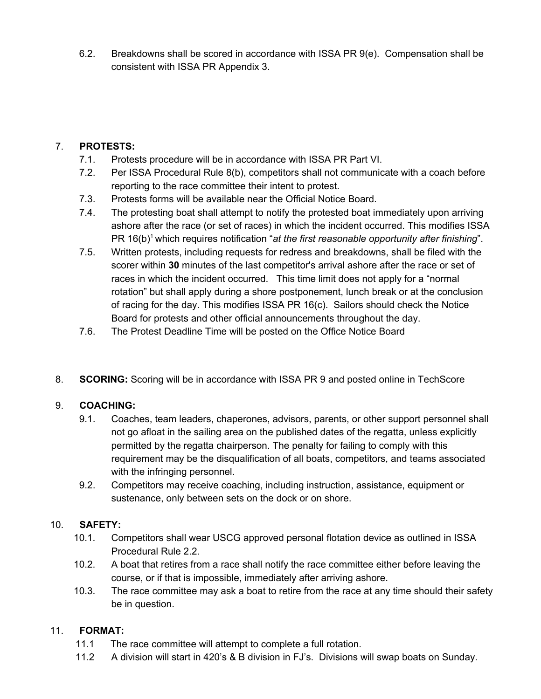6.2. Breakdowns shall be scored in accordance with ISSA PR 9(e). Compensation shall be consistent with ISSA PR Appendix 3.

## 7. **PROTESTS:**

- 7.1. Protests procedure will be in accordance with ISSA PR Part VI.
- 7.2. Per ISSA Procedural Rule 8(b), competitors shall not communicate with a coach before reporting to the race committee their intent to protest.
- 7.3. Protests forms will be available near the Official Notice Board.
- 7.4. The protesting boat shall attempt to notify the protested boat immediately upon arriving ashore after the race (or set of races) in which the incident occurred. This modifies ISSA PR 16(b) <sup>1</sup> which requires notification "*at the first reasonable opportunity after finishing*".
- 7.5. Written protests, including requests for redress and breakdowns, shall be filed with the scorer within **30** minutes of the last competitor's arrival ashore after the race or set of races in which the incident occurred. This time limit does not apply for a "normal rotation" but shall apply during a shore postponement, lunch break or at the conclusion of racing for the day. This modifies ISSA PR 16(c). Sailors should check the Notice Board for protests and other official announcements throughout the day.
- 7.6. The Protest Deadline Time will be posted on the Office Notice Board
- 8. **SCORING:** Scoring will be in accordance with ISSA PR 9 and posted online in TechScore

## 9. **COACHING:**

- 9.1. Coaches, team leaders, chaperones, advisors, parents, or other support personnel shall not go afloat in the sailing area on the published dates of the regatta, unless explicitly permitted by the regatta chairperson. The penalty for failing to comply with this requirement may be the disqualification of all boats, competitors, and teams associated with the infringing personnel.
- 9.2. Competitors may receive coaching, including instruction, assistance, equipment or sustenance, only between sets on the dock or on shore.

### 10. **SAFETY:**

- 10.1. Competitors shall wear USCG approved personal flotation device as outlined in ISSA Procedural Rule 2.2.
- 10.2. A boat that retires from a race shall notify the race committee either before leaving the course, or if that is impossible, immediately after arriving ashore.
- 10.3. The race committee may ask a boat to retire from the race at any time should their safety be in question.

### 11. **FORMAT:**

- 11.1 The race committee will attempt to complete a full rotation.
- 11.2 A division will start in 420's & B division in FJ's. Divisions will swap boats on Sunday.